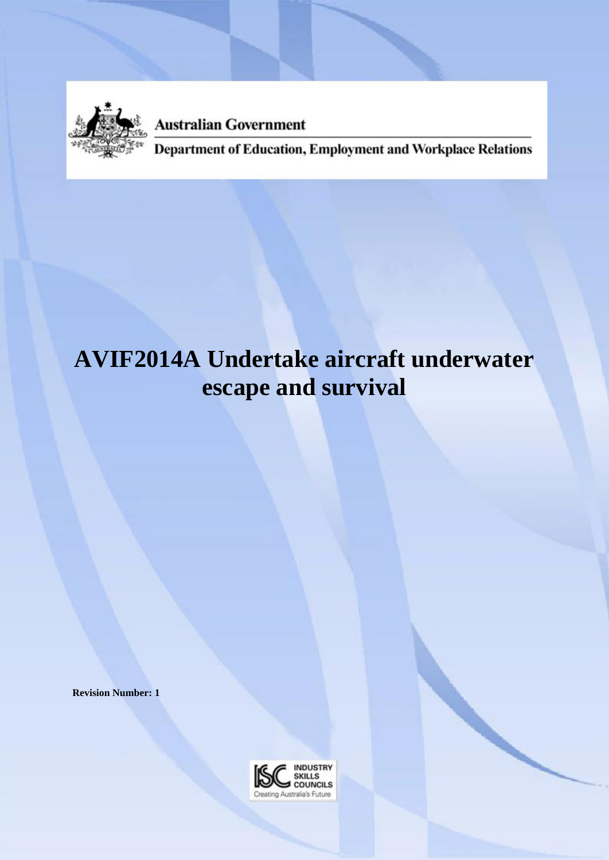

**Australian Government** 

Department of Education, Employment and Workplace Relations

# **AVIF2014A Undertake aircraft underwater escape and survival**

**Revision Number: 1**

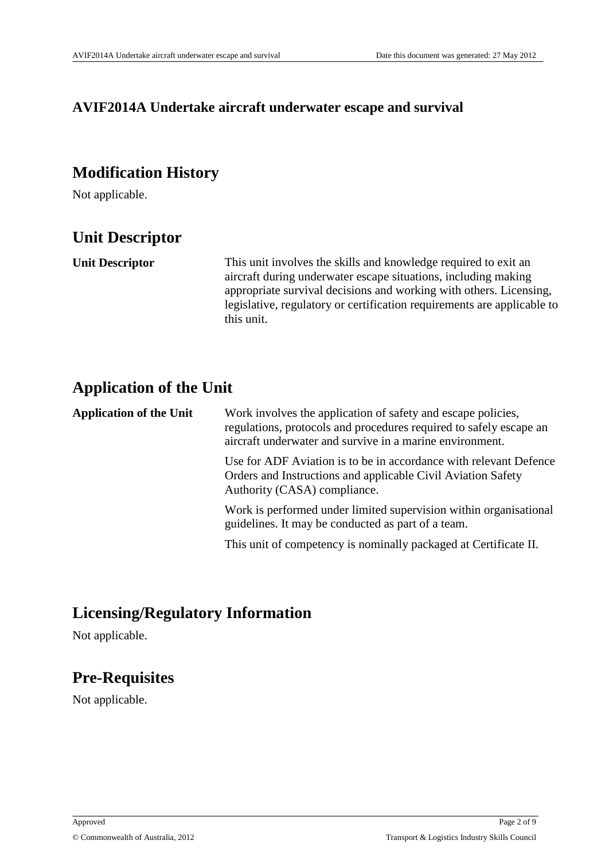#### **AVIF2014A Undertake aircraft underwater escape and survival**

# **Modification History**

Not applicable.

# **Unit Descriptor**

**Unit Descriptor** This unit involves the skills and knowledge required to exit an aircraft during underwater escape situations, including making appropriate survival decisions and working with others. Licensing, legislative, regulatory or certification requirements are applicable to this unit.

### **Application of the Unit**

**Application of the Unit** Work involves the application of safety and escape policies, regulations, protocols and procedures required to safely escape an aircraft underwater and survive in a marine environment. Use for ADF Aviation is to be in accordance with relevant Defence Orders and Instructions and applicable Civil Aviation Safety Authority (CASA) compliance. Work is performed under limited supervision within organisational guidelines. It may be conducted as part of a team. This unit of competency is nominally packaged at Certificate II.

### **Licensing/Regulatory Information**

Not applicable.

# **Pre-Requisites**

Not applicable.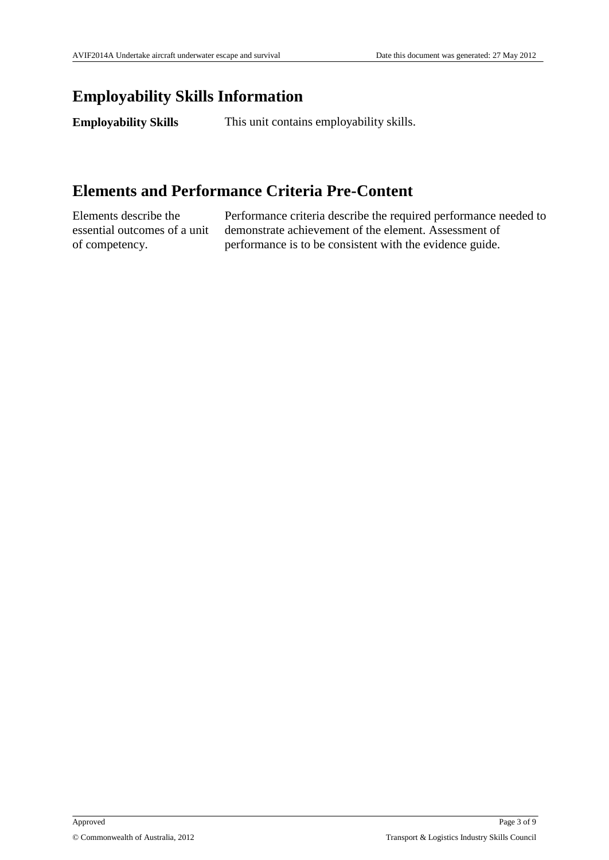### **Employability Skills Information**

**Employability Skills** This unit contains employability skills.

# **Elements and Performance Criteria Pre-Content**

Elements describe the essential outcomes of a unit of competency.

Performance criteria describe the required performance needed to demonstrate achievement of the element. Assessment of performance is to be consistent with the evidence guide.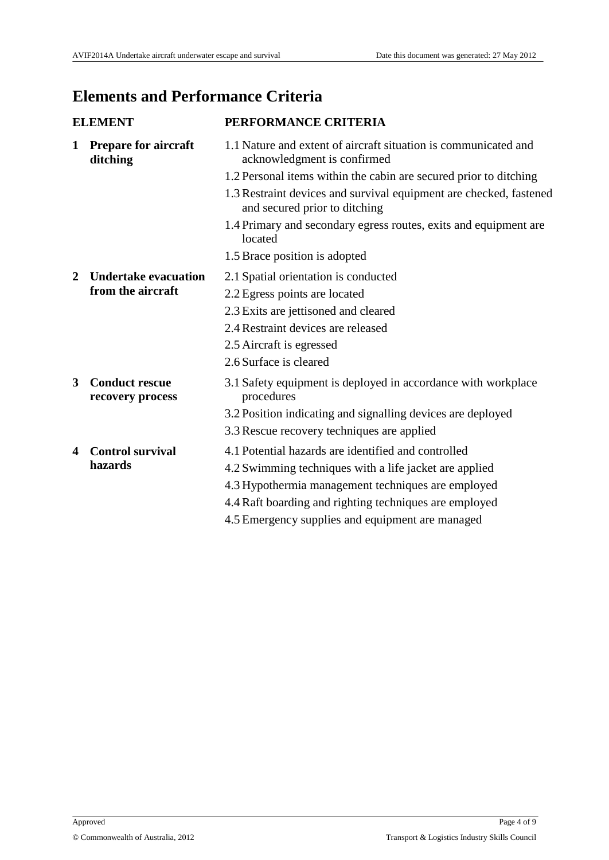# **Elements and Performance Criteria**

| <b>ELEMENT</b> |                                           | PERFORMANCE CRITERIA                                                                                |
|----------------|-------------------------------------------|-----------------------------------------------------------------------------------------------------|
| 1              | <b>Prepare for aircraft</b><br>ditching   | 1.1 Nature and extent of aircraft situation is communicated and<br>acknowledgment is confirmed      |
|                |                                           | 1.2 Personal items within the cabin are secured prior to ditching                                   |
|                |                                           | 1.3 Restraint devices and survival equipment are checked, fastened<br>and secured prior to ditching |
|                |                                           | 1.4 Primary and secondary egress routes, exits and equipment are<br>located                         |
|                |                                           | 1.5 Brace position is adopted                                                                       |
| 2              | <b>Undertake evacuation</b>               | 2.1 Spatial orientation is conducted                                                                |
|                | from the aircraft                         | 2.2 Egress points are located                                                                       |
|                |                                           | 2.3 Exits are jettisoned and cleared                                                                |
|                |                                           | 2.4 Restraint devices are released                                                                  |
|                |                                           | 2.5 Aircraft is egressed                                                                            |
|                |                                           | 2.6 Surface is cleared                                                                              |
| 3              | <b>Conduct rescue</b><br>recovery process | 3.1 Safety equipment is deployed in accordance with workplace<br>procedures                         |
|                |                                           | 3.2 Position indicating and signalling devices are deployed                                         |
|                |                                           | 3.3 Rescue recovery techniques are applied                                                          |
| 4              | <b>Control survival</b>                   | 4.1 Potential hazards are identified and controlled                                                 |
|                | hazards                                   | 4.2 Swimming techniques with a life jacket are applied                                              |
|                |                                           | 4.3 Hypothermia management techniques are employed                                                  |
|                |                                           | 4.4 Raft boarding and righting techniques are employed                                              |
|                |                                           | 4.5 Emergency supplies and equipment are managed                                                    |
|                |                                           |                                                                                                     |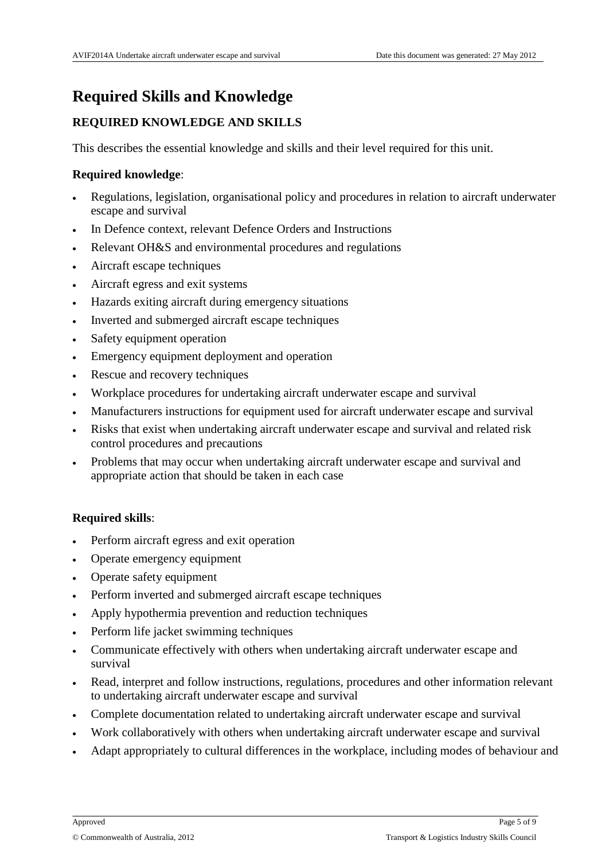# **Required Skills and Knowledge**

#### **REQUIRED KNOWLEDGE AND SKILLS**

This describes the essential knowledge and skills and their level required for this unit.

#### **Required knowledge**:

- Regulations, legislation, organisational policy and procedures in relation to aircraft underwater escape and survival
- In Defence context, relevant Defence Orders and Instructions
- Relevant OH&S and environmental procedures and regulations
- Aircraft escape techniques
- Aircraft egress and exit systems
- Hazards exiting aircraft during emergency situations
- Inverted and submerged aircraft escape techniques
- Safety equipment operation
- Emergency equipment deployment and operation
- Rescue and recovery techniques
- Workplace procedures for undertaking aircraft underwater escape and survival
- Manufacturers instructions for equipment used for aircraft underwater escape and survival
- Risks that exist when undertaking aircraft underwater escape and survival and related risk control procedures and precautions
- Problems that may occur when undertaking aircraft underwater escape and survival and appropriate action that should be taken in each case

#### **Required skills**:

- Perform aircraft egress and exit operation
- Operate emergency equipment
- Operate safety equipment
- Perform inverted and submerged aircraft escape techniques
- Apply hypothermia prevention and reduction techniques
- Perform life jacket swimming techniques
- Communicate effectively with others when undertaking aircraft underwater escape and survival
- Read, interpret and follow instructions, regulations, procedures and other information relevant to undertaking aircraft underwater escape and survival
- Complete documentation related to undertaking aircraft underwater escape and survival
- Work collaboratively with others when undertaking aircraft underwater escape and survival
- Adapt appropriately to cultural differences in the workplace, including modes of behaviour and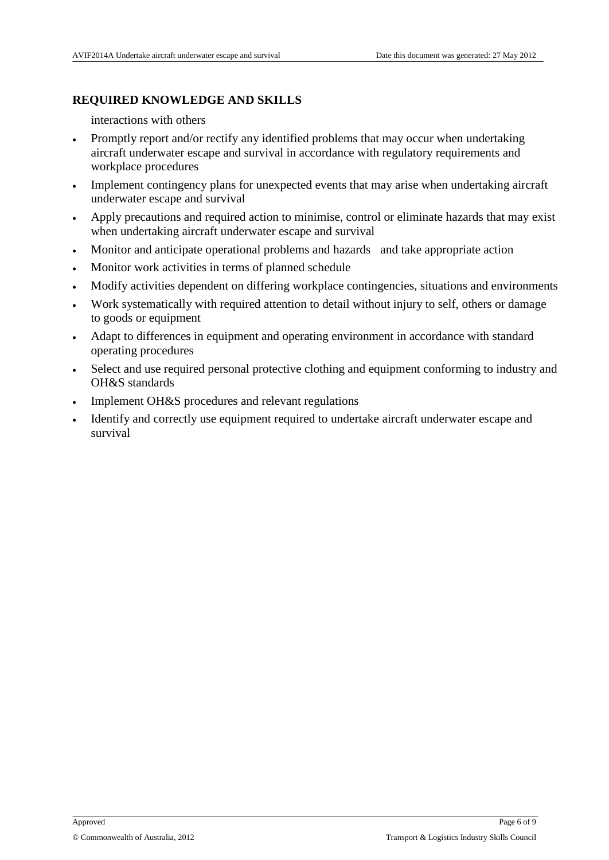#### **REQUIRED KNOWLEDGE AND SKILLS**

interactions with others

- Promptly report and/or rectify any identified problems that may occur when undertaking aircraft underwater escape and survival in accordance with regulatory requirements and workplace procedures
- Implement contingency plans for unexpected events that may arise when undertaking aircraft underwater escape and survival
- Apply precautions and required action to minimise, control or eliminate hazards that may exist when undertaking aircraft underwater escape and survival
- Monitor and anticipate operational problems and hazards and take appropriate action
- Monitor work activities in terms of planned schedule
- Modify activities dependent on differing workplace contingencies, situations and environments
- Work systematically with required attention to detail without injury to self, others or damage to goods or equipment
- Adapt to differences in equipment and operating environment in accordance with standard operating procedures
- Select and use required personal protective clothing and equipment conforming to industry and OH&S standards
- Implement OH&S procedures and relevant regulations
- Identify and correctly use equipment required to undertake aircraft underwater escape and survival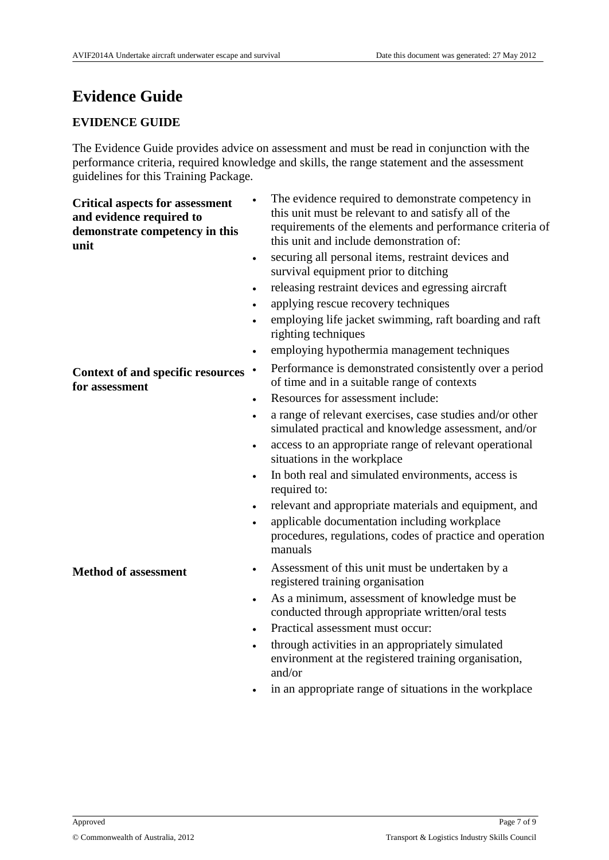# **Evidence Guide**

#### **EVIDENCE GUIDE**

The Evidence Guide provides advice on assessment and must be read in conjunction with the performance criteria, required knowledge and skills, the range statement and the assessment guidelines for this Training Package.

**Critical aspects for assessment and evidence required to demonstrate competency in this unit**

**Context of and specific resources** 

**for assessment**

- The evidence required to demonstrate competency in this unit must be relevant to and satisfy all of the requirements of the elements and performance criteria of this unit and include demonstration of:
- securing all personal items, restraint devices and survival equipment prior to ditching
- releasing restraint devices and egressing aircraft
- applying rescue recovery techniques
- employing life jacket swimming, raft boarding and raft righting techniques
- employing hypothermia management techniques
- Performance is demonstrated consistently over a period of time and in a suitable range of contexts
- Resources for assessment include:
- a range of relevant exercises, case studies and/or other simulated practical and knowledge assessment, and/or
- access to an appropriate range of relevant operational situations in the workplace
- In both real and simulated environments, access is required to:
- relevant and appropriate materials and equipment, and
- applicable documentation including workplace procedures, regulations, codes of practice and operation manuals
- **Method of assessment**  $\cdot$  Assessment of this unit must be undertaken by a registered training organisation
	- As a minimum, assessment of knowledge must be conducted through appropriate written/oral tests
	- Practical assessment must occur:
	- through activities in an appropriately simulated environment at the registered training organisation, and/or
	- in an appropriate range of situations in the workplace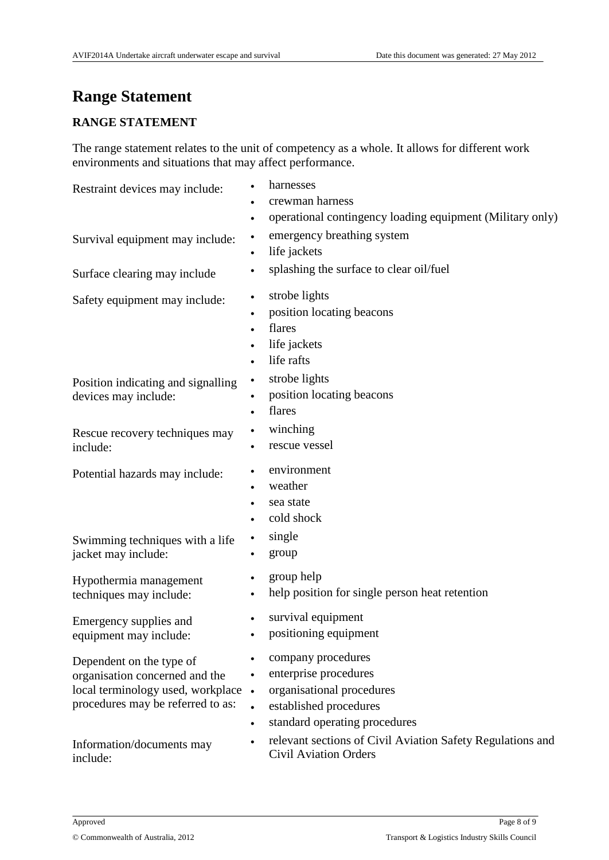# **Range Statement**

#### **RANGE STATEMENT**

The range statement relates to the unit of competency as a whole. It allows for different work environments and situations that may affect performance.

| Restraint devices may include:                                                                                                       | harnesses<br>crewman harness<br>operational contingency loading equipment (Military only)<br>$\bullet$                                                                     |
|--------------------------------------------------------------------------------------------------------------------------------------|----------------------------------------------------------------------------------------------------------------------------------------------------------------------------|
| Survival equipment may include:                                                                                                      | emergency breathing system<br>$\bullet$<br>life jackets                                                                                                                    |
| Surface clearing may include                                                                                                         | splashing the surface to clear oil/fuel<br>$\bullet$                                                                                                                       |
| Safety equipment may include:                                                                                                        | strobe lights<br>$\bullet$<br>position locating beacons<br>flares<br>life jackets<br>life rafts                                                                            |
| Position indicating and signalling<br>devices may include:                                                                           | strobe lights<br>$\bullet$<br>position locating beacons<br>flares                                                                                                          |
| Rescue recovery techniques may<br>include:                                                                                           | winching<br>rescue vessel                                                                                                                                                  |
| Potential hazards may include:<br>Swimming techniques with a life<br>jacket may include:                                             | environment<br>weather<br>sea state<br>$\bullet$<br>cold shock<br>single<br>$\bullet$<br>group                                                                             |
| Hypothermia management<br>techniques may include:                                                                                    | group help<br>$\bullet$<br>help position for single person heat retention<br>$\bullet$                                                                                     |
| Emergency supplies and<br>equipment may include:                                                                                     | survival equipment<br>$\bullet$<br>positioning equipment                                                                                                                   |
| Dependent on the type of<br>organisation concerned and the<br>local terminology used, workplace<br>procedures may be referred to as: | company procedures<br>enterprise procedures<br>$\bullet$<br>organisational procedures<br>$\bullet$<br>established procedures<br>standard operating procedures<br>$\bullet$ |
| Information/documents may<br>include:                                                                                                | relevant sections of Civil Aviation Safety Regulations and<br><b>Civil Aviation Orders</b>                                                                                 |